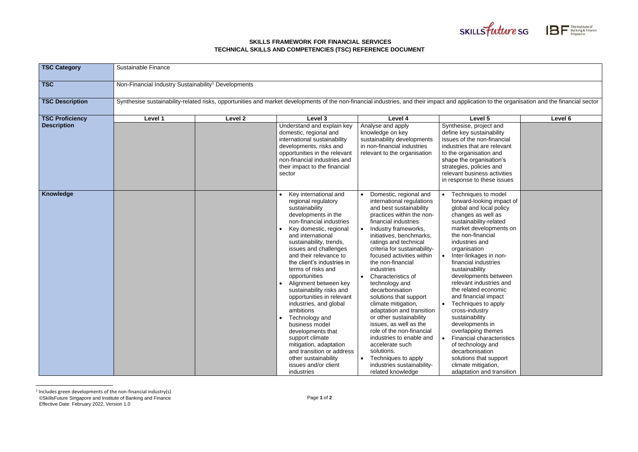| <b>TSC Category</b>                          | Sustainable Finance                                                                                                                                                                           |                    |                                                                                                                                                                                                                                                                                                                                                                                                                                                                                                                                                                                                                                                            |                                                                                                                                                                                                                                                                                                                                                                                                                                                                                                                                                                                                                                                                                                        |                                                                                                                                                                                                                                                                                                                                                                                                                                                                                                                                                                                                                                                   |         |  |
|----------------------------------------------|-----------------------------------------------------------------------------------------------------------------------------------------------------------------------------------------------|--------------------|------------------------------------------------------------------------------------------------------------------------------------------------------------------------------------------------------------------------------------------------------------------------------------------------------------------------------------------------------------------------------------------------------------------------------------------------------------------------------------------------------------------------------------------------------------------------------------------------------------------------------------------------------------|--------------------------------------------------------------------------------------------------------------------------------------------------------------------------------------------------------------------------------------------------------------------------------------------------------------------------------------------------------------------------------------------------------------------------------------------------------------------------------------------------------------------------------------------------------------------------------------------------------------------------------------------------------------------------------------------------------|---------------------------------------------------------------------------------------------------------------------------------------------------------------------------------------------------------------------------------------------------------------------------------------------------------------------------------------------------------------------------------------------------------------------------------------------------------------------------------------------------------------------------------------------------------------------------------------------------------------------------------------------------|---------|--|
| <b>TSC</b>                                   | Non-Financial Industry Sustainability <sup>1</sup> Developments                                                                                                                               |                    |                                                                                                                                                                                                                                                                                                                                                                                                                                                                                                                                                                                                                                                            |                                                                                                                                                                                                                                                                                                                                                                                                                                                                                                                                                                                                                                                                                                        |                                                                                                                                                                                                                                                                                                                                                                                                                                                                                                                                                                                                                                                   |         |  |
| <b>TSC Description</b>                       | Synthesise sustainability-related risks, opportunities and market developments of the non-financial industries, and their impact and application to the organisation and the financial sector |                    |                                                                                                                                                                                                                                                                                                                                                                                                                                                                                                                                                                                                                                                            |                                                                                                                                                                                                                                                                                                                                                                                                                                                                                                                                                                                                                                                                                                        |                                                                                                                                                                                                                                                                                                                                                                                                                                                                                                                                                                                                                                                   |         |  |
| <b>TSC Proficiency</b><br><b>Description</b> | Level 1                                                                                                                                                                                       | Level <sub>2</sub> | Level 3<br>Understand and explain key<br>domestic, regional and<br>international sustainability<br>developments, risks and<br>opportunities in the relevant<br>non-financial industries and<br>their impact to the financial<br>sector                                                                                                                                                                                                                                                                                                                                                                                                                     | Level 4<br>Analyse and apply<br>knowledge on key<br>sustainability developments<br>in non-financial industries<br>relevant to the organisation                                                                                                                                                                                                                                                                                                                                                                                                                                                                                                                                                         | Level 5<br>Synthesise, project and<br>define key sustainability<br>issues of the non-financial<br>industries that are relevant<br>to the organisation and<br>shape the organisation's<br>strategies, policies and<br>relevant business activities<br>in response to these issues                                                                                                                                                                                                                                                                                                                                                                  | Level 6 |  |
| Knowledge                                    |                                                                                                                                                                                               |                    | Key international and<br>regional regulatory<br>sustainability<br>developments in the<br>non-financial industries<br>Key domestic, regional<br>and international<br>sustainability, trends,<br>issues and challenges<br>and their relevance to<br>the client's industries in<br>terms of risks and<br>opportunities<br>Alignment between key<br>sustainability risks and<br>opportunities in relevant<br>industries, and global<br>ambitions<br>Technology and<br>$\bullet$<br>business model<br>developments that<br>support climate<br>mitigation, adaptation<br>and transition or address<br>other sustainability<br>issues and/or client<br>industries | Domestic, regional and<br>international regulations<br>and best sustainability<br>practices within the non-<br>financial industries<br>Industry frameworks,<br>initiatives, benchmarks,<br>ratings and technical<br>criteria for sustainability-<br>focused activities within<br>the non-financial<br>industries<br><b>Characteristics of</b><br>technology and<br>decarbonisation<br>solutions that support<br>climate mitigation,<br>adaptation and transition<br>or other sustainability<br>issues, as well as the<br>role of the non-financial<br>industries to enable and<br>accelerate such<br>solutions.<br>Techniques to apply<br>$\bullet$<br>industries sustainability-<br>related knowledge | Techniques to model<br>forward-looking impact of<br>global and local policy<br>changes as well as<br>sustainability-related<br>market developments on<br>the non-financial<br>industries and<br>organisation<br>Inter-linkages in non-<br>financial industries<br>sustainability<br>developments between<br>relevant industries and<br>the related economic<br>and financial impact<br>Techniques to apply<br>cross-industry<br>sustainability<br>developments in<br>overlapping themes<br><b>Financial characteristics</b><br>of technology and<br>decarbonisation<br>solutions that support<br>climate mitigation,<br>adaptation and transition |         |  |

<sup>©</sup>SkillsFuture Singapore and Institute of Banking and Finance Effective Date: February 2022, Version 1.0 <sup>1</sup> Includes green developments of the non-financial industry(s)

## **SKILLS FRAMEWORK FOR FINANCIAL SERVICES TECHNICAL SKILLS AND COMPETENCIES (TSC) REFERENCE DOCUMENT**